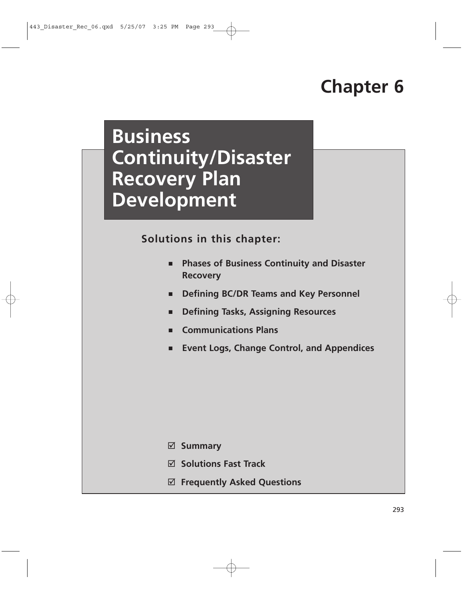# **Chapter 6**

# **Business Continuity/Disaster Recovery Plan Development**

**Solutions in this chapter:**

- **Phases of Business Continuity and Disaster Recovery**
- **Defining BC/DR Teams and Key Personnel**
- **Defining Tasks, Assigning Resources**
- **Communications Plans**
- **Event Logs, Change Control, and Appendices**

- **Summary**
- **Solutions Fast Track**
- **Frequently Asked Questions**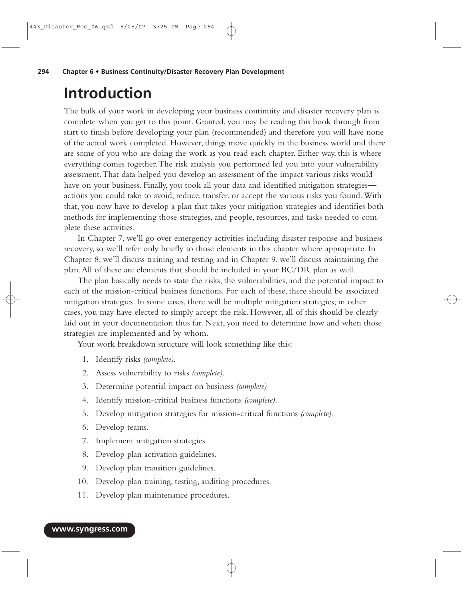## **Introduction**

The bulk of your work in developing your business continuity and disaster recovery plan is complete when you get to this point. Granted, you may be reading this book through from start to finish before developing your plan (recommended) and therefore you will have none of the actual work completed. However, things move quickly in the business world and there are some of you who are doing the work as you read each chapter. Either way, this is where everything comes together.The risk analysis you performed led you into your vulnerability assessment.That data helped you develop an assessment of the impact various risks would have on your business. Finally, you took all your data and identified mitigation strategies actions you could take to avoid, reduce, transfer, or accept the various risks you found. With that, you now have to develop a plan that takes your mitigation strategies and identifies both methods for implementing those strategies, and people, resources, and tasks needed to complete these activities.

In Chapter 7, we'll go over emergency activities including disaster response and business recovery, so we'll refer only briefly to those elements in this chapter where appropriate. In Chapter 8, we'll discuss training and testing and in Chapter 9, we'll discuss maintaining the plan.All of these are elements that should be included in your BC/DR plan as well.

The plan basically needs to state the risks, the vulnerabilities, and the potential impact to each of the mission-critical business functions. For each of these, there should be associated mitigation strategies. In some cases, there will be multiple mitigation strategies; in other cases, you may have elected to simply accept the risk. However, all of this should be clearly laid out in your documentation thus far. Next, you need to determine how and when those strategies are implemented and by whom.

Your work breakdown structure will look something like this:

- 1. Identify risks *(complete)*.
- 2. Assess vulnerability to risks *(complete)*.
- 3. Determine potential impact on business *(complete)*
- 4. Identify mission-critical business functions *(complete)*.
- 5. Develop mitigation strategies for mission-critical functions *(complete)*.
- 6. Develop teams.
- 7. Implement mitigation strategies.
- 8. Develop plan activation guidelines.
- 9. Develop plan transition guidelines.
- 10. Develop plan training, testing, auditing procedures.
- 11. Develop plan maintenance procedures.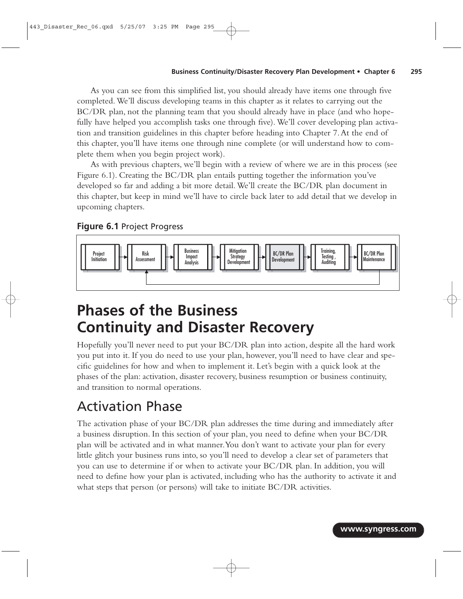As you can see from this simplified list, you should already have items one through five completed. We'll discuss developing teams in this chapter as it relates to carrying out the BC/DR plan, not the planning team that you should already have in place (and who hopefully have helped you accomplish tasks one through five). We'll cover developing plan activation and transition guidelines in this chapter before heading into Chapter 7.At the end of this chapter, you'll have items one through nine complete (or will understand how to complete them when you begin project work).

As with previous chapters, we'll begin with a review of where we are in this process (see Figure 6.1). Creating the BC/DR plan entails putting together the information you've developed so far and adding a bit more detail. We'll create the BC/DR plan document in this chapter, but keep in mind we'll have to circle back later to add detail that we develop in upcoming chapters.

#### **Figure 6.1** Project Progress



## **Phases of the Business Continuity and Disaster Recovery**

Hopefully you'll never need to put your BC/DR plan into action, despite all the hard work you put into it. If you do need to use your plan, however, you'll need to have clear and specific guidelines for how and when to implement it. Let's begin with a quick look at the phases of the plan: activation, disaster recovery, business resumption or business continuity, and transition to normal operations.

## Activation Phase

The activation phase of your BC/DR plan addresses the time during and immediately after a business disruption. In this section of your plan, you need to define when your BC/DR plan will be activated and in what manner.You don't want to activate your plan for every little glitch your business runs into, so you'll need to develop a clear set of parameters that you can use to determine if or when to activate your BC/DR plan. In addition, you will need to define how your plan is activated, including who has the authority to activate it and what steps that person (or persons) will take to initiate BC/DR activities.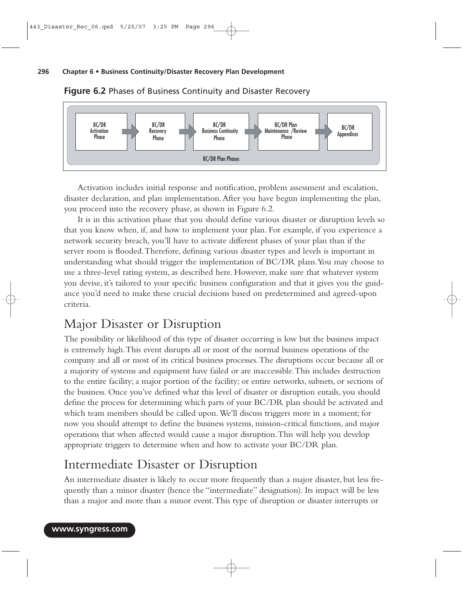

#### **Figure 6.2** Phases of Business Continuity and Disaster Recovery

Activation includes initial response and notification, problem assessment and escalation, disaster declaration, and plan implementation.After you have begun implementing the plan, you proceed into the recovery phase, as shown in Figure 6.2.

It is in this activation phase that you should define various disaster or disruption levels so that you know when, if, and how to implement your plan. For example, if you experience a network security breach, you'll have to activate different phases of your plan than if the server room is flooded.Therefore, defining various disaster types and levels is important in understanding what should trigger the implementation of BC/DR plans.You may choose to use a three-level rating system, as described here. However, make sure that whatever system you devise, it's tailored to your specific business configuration and that it gives you the guidance you'd need to make these crucial decisions based on predetermined and agreed-upon criteria.

#### Major Disaster or Disruption

The possibility or likelihood of this type of disaster occurring is low but the business impact is extremely high.This event disrupts all or most of the normal business operations of the company and all or most of its critical business processes.The disruptions occur because all or a majority of systems and equipment have failed or are inaccessible.This includes destruction to the entire facility; a major portion of the facility; or entire networks, subnets, or sections of the business. Once you've defined what this level of disaster or disruption entails, you should define the process for determining which parts of your BC/DR plan should be activated and which team members should be called upon. We'll discuss triggers more in a moment; for now you should attempt to define the business systems, mission-critical functions, and major operations that when affected would cause a major disruption.This will help you develop appropriate triggers to determine when and how to activate your BC/DR plan.

### Intermediate Disaster or Disruption

An intermediate disaster is likely to occur more frequently than a major disaster, but less frequently than a minor disaster (hence the "intermediate" designation). Its impact will be less than a major and more than a minor event.This type of disruption or disaster interrupts or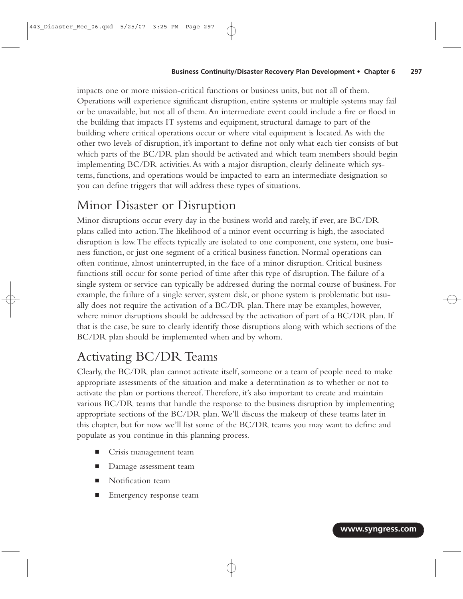impacts one or more mission-critical functions or business units, but not all of them. Operations will experience significant disruption, entire systems or multiple systems may fail or be unavailable, but not all of them.An intermediate event could include a fire or flood in the building that impacts IT systems and equipment, structural damage to part of the building where critical operations occur or where vital equipment is located.As with the other two levels of disruption, it's important to define not only what each tier consists of but which parts of the BC/DR plan should be activated and which team members should begin implementing BC/DR activities.As with a major disruption, clearly delineate which systems, functions, and operations would be impacted to earn an intermediate designation so you can define triggers that will address these types of situations.

### Minor Disaster or Disruption

Minor disruptions occur every day in the business world and rarely, if ever, are BC/DR plans called into action.The likelihood of a minor event occurring is high, the associated disruption is low.The effects typically are isolated to one component, one system, one business function, or just one segment of a critical business function. Normal operations can often continue, almost uninterrupted, in the face of a minor disruption. Critical business functions still occur for some period of time after this type of disruption.The failure of a single system or service can typically be addressed during the normal course of business. For example, the failure of a single server, system disk, or phone system is problematic but usually does not require the activation of a BC/DR plan.There may be examples, however, where minor disruptions should be addressed by the activation of part of a BC/DR plan. If that is the case, be sure to clearly identify those disruptions along with which sections of the BC/DR plan should be implemented when and by whom.

## Activating BC/DR Teams

Clearly, the BC/DR plan cannot activate itself, someone or a team of people need to make appropriate assessments of the situation and make a determination as to whether or not to activate the plan or portions thereof.Therefore, it's also important to create and maintain various BC/DR teams that handle the response to the business disruption by implementing appropriate sections of the BC/DR plan. We'll discuss the makeup of these teams later in this chapter, but for now we'll list some of the BC/DR teams you may want to define and populate as you continue in this planning process.

- Crisis management team
- Damage assessment team
- Notification team
- Emergency response team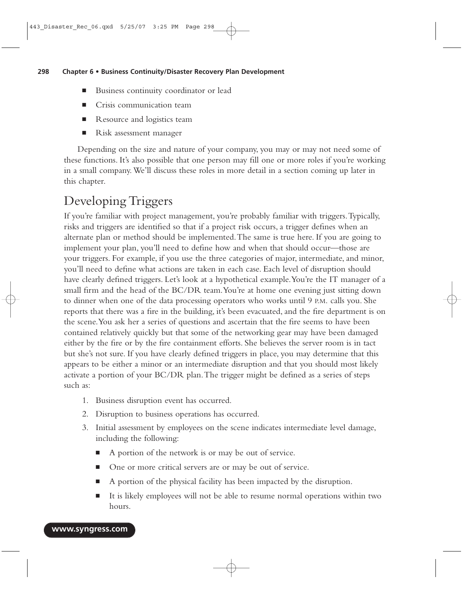- Business continuity coordinator or lead
- Crisis communication team
- Resource and logistics team
- Risk assessment manager

Depending on the size and nature of your company, you may or may not need some of these functions. It's also possible that one person may fill one or more roles if you're working in a small company. We'll discuss these roles in more detail in a section coming up later in this chapter.

### Developing Triggers

If you're familiar with project management, you're probably familiar with triggers.Typically, risks and triggers are identified so that if a project risk occurs, a trigger defines when an alternate plan or method should be implemented.The same is true here. If you are going to implement your plan, you'll need to define how and when that should occur—those are your triggers. For example, if you use the three categories of major, intermediate, and minor, you'll need to define what actions are taken in each case. Each level of disruption should have clearly defined triggers. Let's look at a hypothetical example.You're the IT manager of a small firm and the head of the BC/DR team. You're at home one evening just sitting down to dinner when one of the data processing operators who works until 9 P.M. calls you. She reports that there was a fire in the building, it's been evacuated, and the fire department is on the scene.You ask her a series of questions and ascertain that the fire seems to have been contained relatively quickly but that some of the networking gear may have been damaged either by the fire or by the fire containment efforts. She believes the server room is in tact but she's not sure. If you have clearly defined triggers in place, you may determine that this appears to be either a minor or an intermediate disruption and that you should most likely activate a portion of your BC/DR plan.The trigger might be defined as a series of steps such as:

- 1. Business disruption event has occurred.
- 2. Disruption to business operations has occurred.
- 3. Initial assessment by employees on the scene indicates intermediate level damage, including the following:
	- A portion of the network is or may be out of service.
	- One or more critical servers are or may be out of service.
	- A portion of the physical facility has been impacted by the disruption.
	- It is likely employees will not be able to resume normal operations within two hours.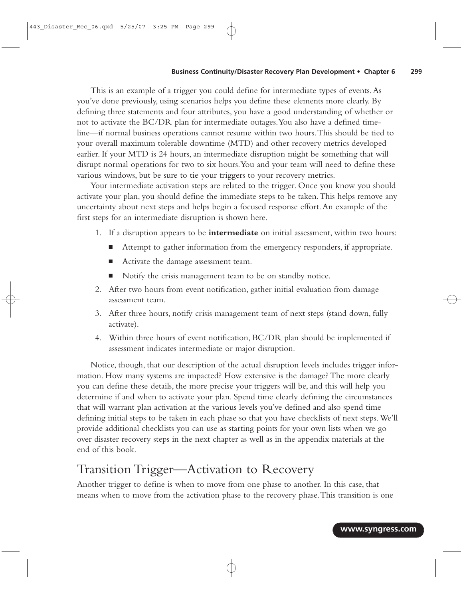This is an example of a trigger you could define for intermediate types of events.As you've done previously, using scenarios helps you define these elements more clearly. By defining three statements and four attributes, you have a good understanding of whether or not to activate the BC/DR plan for intermediate outages.You also have a defined timeline—if normal business operations cannot resume within two hours.This should be tied to your overall maximum tolerable downtime (MTD) and other recovery metrics developed earlier. If your MTD is 24 hours, an intermediate disruption might be something that will disrupt normal operations for two to six hours.You and your team will need to define these various windows, but be sure to tie your triggers to your recovery metrics.

Your intermediate activation steps are related to the trigger. Once you know you should activate your plan, you should define the immediate steps to be taken.This helps remove any uncertainty about next steps and helps begin a focused response effort.An example of the first steps for an intermediate disruption is shown here.

- 1. If a disruption appears to be **intermediate** on initial assessment, within two hours:
	- Attempt to gather information from the emergency responders, if appropriate.
	- Activate the damage assessment team.
	- Notify the crisis management team to be on standby notice.
- 2. After two hours from event notification, gather initial evaluation from damage assessment team.
- 3. After three hours, notify crisis management team of next steps (stand down, fully activate).
- 4. Within three hours of event notification, BC/DR plan should be implemented if assessment indicates intermediate or major disruption.

Notice, though, that our description of the actual disruption levels includes trigger information. How many systems are impacted? How extensive is the damage? The more clearly you can define these details, the more precise your triggers will be, and this will help you determine if and when to activate your plan. Spend time clearly defining the circumstances that will warrant plan activation at the various levels you've defined and also spend time defining initial steps to be taken in each phase so that you have checklists of next steps. We'll provide additional checklists you can use as starting points for your own lists when we go over disaster recovery steps in the next chapter as well as in the appendix materials at the end of this book.

#### Transition Trigger—Activation to Recovery

Another trigger to define is when to move from one phase to another. In this case, that means when to move from the activation phase to the recovery phase.This transition is one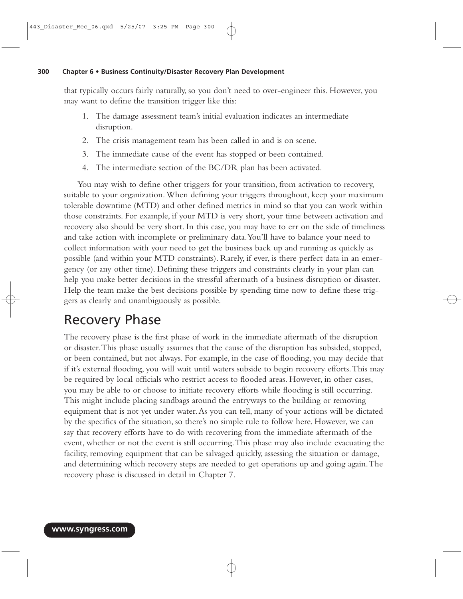that typically occurs fairly naturally, so you don't need to over-engineer this. However, you may want to define the transition trigger like this:

- 1. The damage assessment team's initial evaluation indicates an intermediate disruption.
- 2. The crisis management team has been called in and is on scene.
- 3. The immediate cause of the event has stopped or been contained.
- 4. The intermediate section of the BC/DR plan has been activated.

You may wish to define other triggers for your transition, from activation to recovery, suitable to your organization. When defining your triggers throughout, keep your maximum tolerable downtime (MTD) and other defined metrics in mind so that you can work within those constraints. For example, if your MTD is very short, your time between activation and recovery also should be very short. In this case, you may have to err on the side of timeliness and take action with incomplete or preliminary data.You'll have to balance your need to collect information with your need to get the business back up and running as quickly as possible (and within your MTD constraints). Rarely, if ever, is there perfect data in an emergency (or any other time). Defining these triggers and constraints clearly in your plan can help you make better decisions in the stressful aftermath of a business disruption or disaster. Help the team make the best decisions possible by spending time now to define these triggers as clearly and unambiguously as possible.

## Recovery Phase

The recovery phase is the first phase of work in the immediate aftermath of the disruption or disaster.This phase usually assumes that the cause of the disruption has subsided, stopped, or been contained, but not always. For example, in the case of flooding, you may decide that if it's external flooding, you will wait until waters subside to begin recovery efforts.This may be required by local officials who restrict access to flooded areas. However, in other cases, you may be able to or choose to initiate recovery efforts while flooding is still occurring. This might include placing sandbags around the entryways to the building or removing equipment that is not yet under water.As you can tell, many of your actions will be dictated by the specifics of the situation, so there's no simple rule to follow here. However, we can say that recovery efforts have to do with recovering from the immediate aftermath of the event, whether or not the event is still occurring.This phase may also include evacuating the facility, removing equipment that can be salvaged quickly, assessing the situation or damage, and determining which recovery steps are needed to get operations up and going again.The recovery phase is discussed in detail in Chapter 7.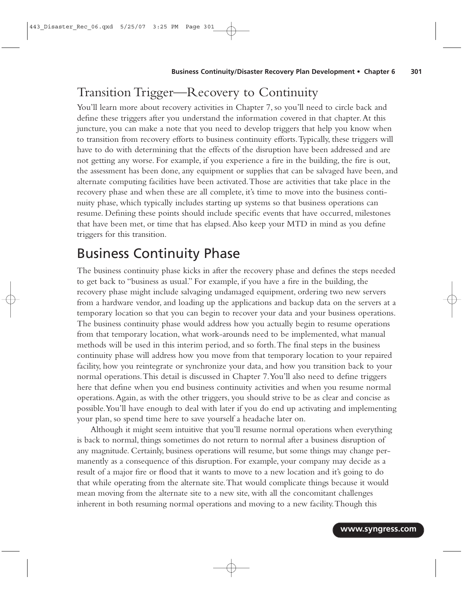### Transition Trigger—Recovery to Continuity

You'll learn more about recovery activities in Chapter 7, so you'll need to circle back and define these triggers after you understand the information covered in that chapter.At this juncture, you can make a note that you need to develop triggers that help you know when to transition from recovery efforts to business continuity efforts.Typically, these triggers will have to do with determining that the effects of the disruption have been addressed and are not getting any worse. For example, if you experience a fire in the building, the fire is out, the assessment has been done, any equipment or supplies that can be salvaged have been, and alternate computing facilities have been activated.Those are activities that take place in the recovery phase and when these are all complete, it's time to move into the business continuity phase, which typically includes starting up systems so that business operations can resume. Defining these points should include specific events that have occurred, milestones that have been met, or time that has elapsed.Also keep your MTD in mind as you define triggers for this transition.

## Business Continuity Phase

The business continuity phase kicks in after the recovery phase and defines the steps needed to get back to "business as usual." For example, if you have a fire in the building, the recovery phase might include salvaging undamaged equipment, ordering two new servers from a hardware vendor, and loading up the applications and backup data on the servers at a temporary location so that you can begin to recover your data and your business operations. The business continuity phase would address how you actually begin to resume operations from that temporary location, what work-arounds need to be implemented, what manual methods will be used in this interim period, and so forth.The final steps in the business continuity phase will address how you move from that temporary location to your repaired facility, how you reintegrate or synchronize your data, and how you transition back to your normal operations.This detail is discussed in Chapter 7.You'll also need to define triggers here that define when you end business continuity activities and when you resume normal operations.Again, as with the other triggers, you should strive to be as clear and concise as possible.You'll have enough to deal with later if you do end up activating and implementing your plan, so spend time here to save yourself a headache later on.

Although it might seem intuitive that you'll resume normal operations when everything is back to normal, things sometimes do not return to normal after a business disruption of any magnitude. Certainly, business operations will resume, but some things may change permanently as a consequence of this disruption. For example, your company may decide as a result of a major fire or flood that it wants to move to a new location and it's going to do that while operating from the alternate site.That would complicate things because it would mean moving from the alternate site to a new site, with all the concomitant challenges inherent in both resuming normal operations and moving to a new facility.Though this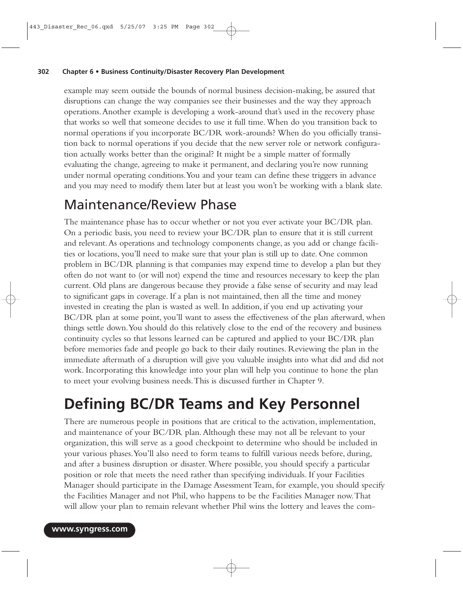example may seem outside the bounds of normal business decision-making, be assured that disruptions can change the way companies see their businesses and the way they approach operations.Another example is developing a work-around that's used in the recovery phase that works so well that someone decides to use it full time. When do you transition back to normal operations if you incorporate BC/DR work-arounds? When do you officially transition back to normal operations if you decide that the new server role or network configuration actually works better than the original? It might be a simple matter of formally evaluating the change, agreeing to make it permanent, and declaring you're now running under normal operating conditions.You and your team can define these triggers in advance and you may need to modify them later but at least you won't be working with a blank slate.

## Maintenance/Review Phase

The maintenance phase has to occur whether or not you ever activate your BC/DR plan. On a periodic basis, you need to review your BC/DR plan to ensure that it is still current and relevant.As operations and technology components change, as you add or change facilities or locations, you'll need to make sure that your plan is still up to date. One common problem in BC/DR planning is that companies may expend time to develop a plan but they often do not want to (or will not) expend the time and resources necessary to keep the plan current. Old plans are dangerous because they provide a false sense of security and may lead to significant gaps in coverage. If a plan is not maintained, then all the time and money invested in creating the plan is wasted as well. In addition, if you end up activating your BC/DR plan at some point, you'll want to assess the effectiveness of the plan afterward, when things settle down.You should do this relatively close to the end of the recovery and business continuity cycles so that lessons learned can be captured and applied to your BC/DR plan before memories fade and people go back to their daily routines. Reviewing the plan in the immediate aftermath of a disruption will give you valuable insights into what did and did not work. Incorporating this knowledge into your plan will help you continue to hone the plan to meet your evolving business needs.This is discussed further in Chapter 9.

# **Defining BC/DR Teams and Key Personnel**

There are numerous people in positions that are critical to the activation, implementation, and maintenance of your BC/DR plan.Although these may not all be relevant to your organization, this will serve as a good checkpoint to determine who should be included in your various phases.You'll also need to form teams to fulfill various needs before, during, and after a business disruption or disaster. Where possible, you should specify a particular position or role that meets the need rather than specifying individuals. If your Facilities Manager should participate in the Damage Assessment Team, for example, you should specify the Facilities Manager and not Phil, who happens to be the Facilities Manager now.That will allow your plan to remain relevant whether Phil wins the lottery and leaves the com-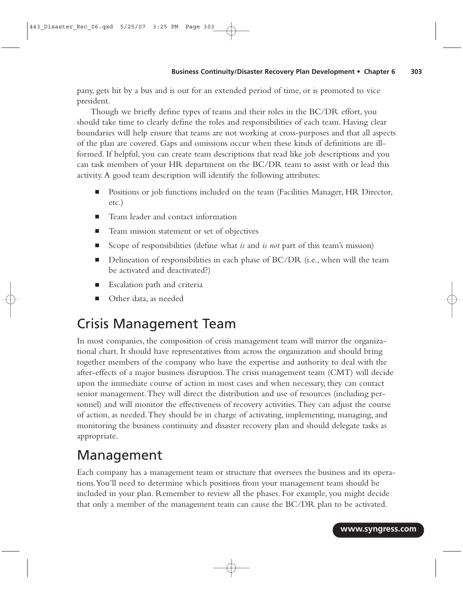pany, gets hit by a bus and is out for an extended period of time, or is promoted to vice president.

Though we briefly define types of teams and their roles in the BC/DR effort, you should take time to clearly define the roles and responsibilities of each team. Having clear boundaries will help ensure that teams are not working at cross-purposes and that all aspects of the plan are covered. Gaps and omissions occur when these kinds of definitions are illformed. If helpful, you can create team descriptions that read like job descriptions and you can task members of your HR department on the BC/DR team to assist with or lead this activity.A good team description will identify the following attributes:

- Positions or job functions included on the team (Facilities Manager, HR Director, etc.)
- Team leader and contact information
- Team mission statement or set of objectives
- Scope of responsibilities (define what *is* and *is not* part of this team's mission)
- Delineation of responsibilities in each phase of BC/DR (i.e., when will the team be activated and deactivated?)
- Escalation path and criteria
- Other data, as needed

## Crisis Management Team

In most companies, the composition of crisis management team will mirror the organizational chart. It should have representatives from across the organization and should bring together members of the company who have the expertise and authority to deal with the after-effects of a major business disruption.The crisis management team (CMT) will decide upon the immediate course of action in most cases and when necessary, they can contact senior management.They will direct the distribution and use of resources (including personnel) and will monitor the effectiveness of recovery activities.They can adjust the course of action, as needed.They should be in charge of activating, implementing, managing, and monitoring the business continuity and disaster recovery plan and should delegate tasks as appropriate.

## Management

Each company has a management team or structure that oversees the business and its operations.You'll need to determine which positions from your management team should be included in your plan. Remember to review all the phases. For example, you might decide that only a member of the management team can cause the BC/DR plan to be activated.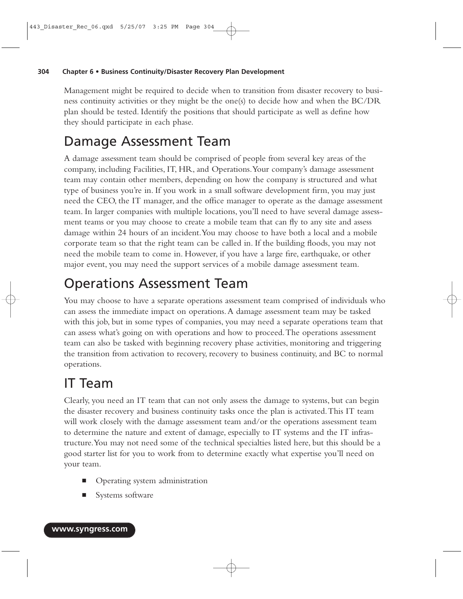Management might be required to decide when to transition from disaster recovery to business continuity activities or they might be the one(s) to decide how and when the BC/DR plan should be tested. Identify the positions that should participate as well as define how they should participate in each phase.

## Damage Assessment Team

A damage assessment team should be comprised of people from several key areas of the company, including Facilities, IT, HR, and Operations.Your company's damage assessment team may contain other members, depending on how the company is structured and what type of business you're in. If you work in a small software development firm, you may just need the CEO, the IT manager, and the office manager to operate as the damage assessment team. In larger companies with multiple locations, you'll need to have several damage assessment teams or you may choose to create a mobile team that can fly to any site and assess damage within 24 hours of an incident.You may choose to have both a local and a mobile corporate team so that the right team can be called in. If the building floods, you may not need the mobile team to come in. However, if you have a large fire, earthquake, or other major event, you may need the support services of a mobile damage assessment team.

## Operations Assessment Team

You may choose to have a separate operations assessment team comprised of individuals who can assess the immediate impact on operations.A damage assessment team may be tasked with this job, but in some types of companies, you may need a separate operations team that can assess what's going on with operations and how to proceed.The operations assessment team can also be tasked with beginning recovery phase activities, monitoring and triggering the transition from activation to recovery, recovery to business continuity, and BC to normal operations.

# IT Team

Clearly, you need an IT team that can not only assess the damage to systems, but can begin the disaster recovery and business continuity tasks once the plan is activated.This IT team will work closely with the damage assessment team and/or the operations assessment team to determine the nature and extent of damage, especially to IT systems and the IT infrastructure.You may not need some of the technical specialties listed here, but this should be a good starter list for you to work from to determine exactly what expertise you'll need on your team.

- Operating system administration
- Systems software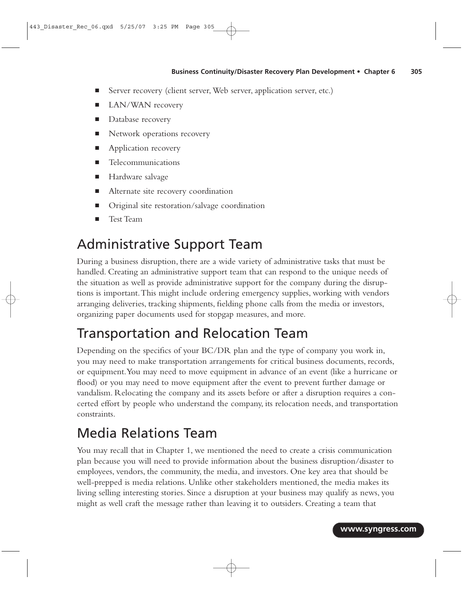- Server recovery (client server, Web server, application server, etc.)
- LAN/WAN recovery
- Database recovery
- Network operations recovery
- Application recovery
- **Telecommunications**
- Hardware salvage
- Alternate site recovery coordination
- Original site restoration/salvage coordination
- Test Team

## Administrative Support Team

During a business disruption, there are a wide variety of administrative tasks that must be handled. Creating an administrative support team that can respond to the unique needs of the situation as well as provide administrative support for the company during the disruptions is important.This might include ordering emergency supplies, working with vendors arranging deliveries, tracking shipments, fielding phone calls from the media or investors, organizing paper documents used for stopgap measures, and more.

## Transportation and Relocation Team

Depending on the specifics of your BC/DR plan and the type of company you work in, you may need to make transportation arrangements for critical business documents, records, or equipment.You may need to move equipment in advance of an event (like a hurricane or flood) or you may need to move equipment after the event to prevent further damage or vandalism. Relocating the company and its assets before or after a disruption requires a concerted effort by people who understand the company, its relocation needs, and transportation constraints.

## Media Relations Team

You may recall that in Chapter 1, we mentioned the need to create a crisis communication plan because you will need to provide information about the business disruption/disaster to employees, vendors, the community, the media, and investors. One key area that should be well-prepped is media relations. Unlike other stakeholders mentioned, the media makes its living selling interesting stories. Since a disruption at your business may qualify as news, you might as well craft the message rather than leaving it to outsiders. Creating a team that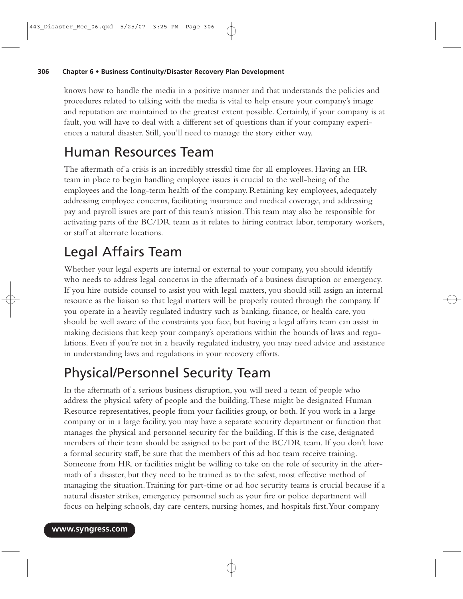knows how to handle the media in a positive manner and that understands the policies and procedures related to talking with the media is vital to help ensure your company's image and reputation are maintained to the greatest extent possible. Certainly, if your company is at fault, you will have to deal with a different set of questions than if your company experiences a natural disaster. Still, you'll need to manage the story either way.

## Human Resources Team

The aftermath of a crisis is an incredibly stressful time for all employees. Having an HR team in place to begin handling employee issues is crucial to the well-being of the employees and the long-term health of the company. Retaining key employees, adequately addressing employee concerns, facilitating insurance and medical coverage, and addressing pay and payroll issues are part of this team's mission.This team may also be responsible for activating parts of the BC/DR team as it relates to hiring contract labor, temporary workers, or staff at alternate locations.

## Legal Affairs Team

Whether your legal experts are internal or external to your company, you should identify who needs to address legal concerns in the aftermath of a business disruption or emergency. If you hire outside counsel to assist you with legal matters, you should still assign an internal resource as the liaison so that legal matters will be properly routed through the company. If you operate in a heavily regulated industry such as banking, finance, or health care, you should be well aware of the constraints you face, but having a legal affairs team can assist in making decisions that keep your company's operations within the bounds of laws and regulations. Even if you're not in a heavily regulated industry, you may need advice and assistance in understanding laws and regulations in your recovery efforts.

## Physical/Personnel Security Team

In the aftermath of a serious business disruption, you will need a team of people who address the physical safety of people and the building.These might be designated Human Resource representatives, people from your facilities group, or both. If you work in a large company or in a large facility, you may have a separate security department or function that manages the physical and personnel security for the building. If this is the case, designated members of their team should be assigned to be part of the BC/DR team. If you don't have a formal security staff, be sure that the members of this ad hoc team receive training. Someone from HR or facilities might be willing to take on the role of security in the aftermath of a disaster, but they need to be trained as to the safest, most effective method of managing the situation.Training for part-time or ad hoc security teams is crucial because if a natural disaster strikes, emergency personnel such as your fire or police department will focus on helping schools, day care centers, nursing homes, and hospitals first.Your company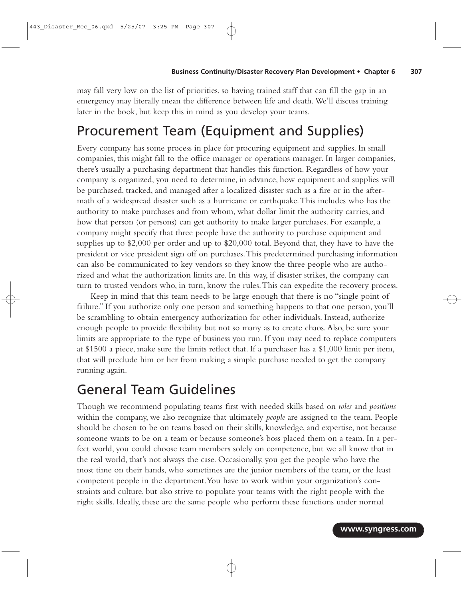may fall very low on the list of priorities, so having trained staff that can fill the gap in an emergency may literally mean the difference between life and death. We'll discuss training later in the book, but keep this in mind as you develop your teams.

## Procurement Team (Equipment and Supplies)

Every company has some process in place for procuring equipment and supplies. In small companies, this might fall to the office manager or operations manager. In larger companies, there's usually a purchasing department that handles this function. Regardless of how your company is organized, you need to determine, in advance, how equipment and supplies will be purchased, tracked, and managed after a localized disaster such as a fire or in the aftermath of a widespread disaster such as a hurricane or earthquake.This includes who has the authority to make purchases and from whom, what dollar limit the authority carries, and how that person (or persons) can get authority to make larger purchases. For example, a company might specify that three people have the authority to purchase equipment and supplies up to \$2,000 per order and up to \$20,000 total. Beyond that, they have to have the president or vice president sign off on purchases.This predetermined purchasing information can also be communicated to key vendors so they know the three people who are authorized and what the authorization limits are. In this way, if disaster strikes, the company can turn to trusted vendors who, in turn, know the rules.This can expedite the recovery process.

Keep in mind that this team needs to be large enough that there is no "single point of failure." If you authorize only one person and something happens to that one person, you'll be scrambling to obtain emergency authorization for other individuals. Instead, authorize enough people to provide flexibility but not so many as to create chaos.Also, be sure your limits are appropriate to the type of business you run. If you may need to replace computers at \$1500 a piece, make sure the limits reflect that. If a purchaser has a \$1,000 limit per item, that will preclude him or her from making a simple purchase needed to get the company running again.

## General Team Guidelines

Though we recommend populating teams first with needed skills based on *roles* and *positions* within the company, we also recognize that ultimately *people* are assigned to the team. People should be chosen to be on teams based on their skills, knowledge, and expertise, not because someone wants to be on a team or because someone's boss placed them on a team. In a perfect world, you could choose team members solely on competence, but we all know that in the real world, that's not always the case. Occasionally, you get the people who have the most time on their hands, who sometimes are the junior members of the team, or the least competent people in the department.You have to work within your organization's constraints and culture, but also strive to populate your teams with the right people with the right skills. Ideally, these are the same people who perform these functions under normal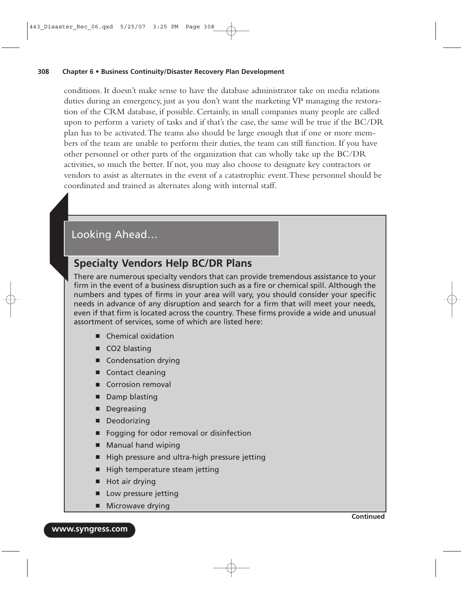conditions. It doesn't make sense to have the database administrator take on media relations duties during an emergency, just as you don't want the marketing VP managing the restoration of the CRM database, if possible. Certainly, in small companies many people are called upon to perform a variety of tasks and if that's the case, the same will be true if the BC/DR plan has to be activated.The teams also should be large enough that if one or more members of the team are unable to perform their duties, the team can still function. If you have other personnel or other parts of the organization that can wholly take up the BC/DR activities, so much the better. If not, you may also choose to designate key contractors or vendors to assist as alternates in the event of a catastrophic event.These personnel should be coordinated and trained as alternates along with internal staff.

#### Looking Ahead…

#### **Specialty Vendors Help BC/DR Plans**

There are numerous specialty vendors that can provide tremendous assistance to your firm in the event of a business disruption such as a fire or chemical spill. Although the numbers and types of firms in your area will vary, you should consider your specific needs in advance of any disruption and search for a firm that will meet your needs, even if that firm is located across the country. These firms provide a wide and unusual assortment of services, some of which are listed here:

- Chemical oxidation
- CO2 blasting
- Condensation drying
- Contact cleaning
- Corrosion removal
- Damp blasting
- Degreasing
- Deodorizing
- Fogging for odor removal or disinfection
- Manual hand wiping
- High pressure and ultra-high pressure jetting
- High temperature steam jetting
- Hot air drying
- Low pressure jetting
- Microwave drying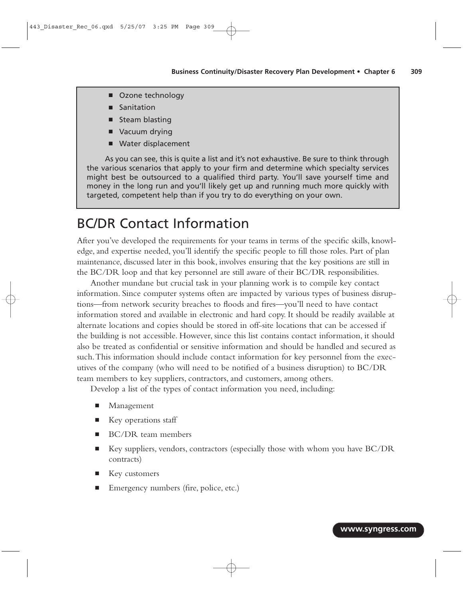- Ozone technology
- Sanitation
- Steam blasting
- Vacuum drying
- Water displacement

As you can see, this is quite a list and it's not exhaustive. Be sure to think through the various scenarios that apply to your firm and determine which specialty services might best be outsourced to a qualified third party. You'll save yourself time and money in the long run and you'll likely get up and running much more quickly with targeted, competent help than if you try to do everything on your own.

### BC/DR Contact Information

After you've developed the requirements for your teams in terms of the specific skills, knowledge, and expertise needed, you'll identify the specific people to fill those roles. Part of plan maintenance, discussed later in this book, involves ensuring that the key positions are still in the BC/DR loop and that key personnel are still aware of their BC/DR responsibilities.

Another mundane but crucial task in your planning work is to compile key contact information. Since computer systems often are impacted by various types of business disruptions—from network security breaches to floods and fires—you'll need to have contact information stored and available in electronic and hard copy. It should be readily available at alternate locations and copies should be stored in off-site locations that can be accessed if the building is not accessible. However, since this list contains contact information, it should also be treated as confidential or sensitive information and should be handled and secured as such.This information should include contact information for key personnel from the executives of the company (who will need to be notified of a business disruption) to BC/DR team members to key suppliers, contractors, and customers, among others.

Develop a list of the types of contact information you need, including:

- Management
- Key operations staff
- BC/DR team members
- Key suppliers, vendors, contractors (especially those with whom you have BC/DR contracts)
- Key customers
- Emergency numbers (fire, police, etc.)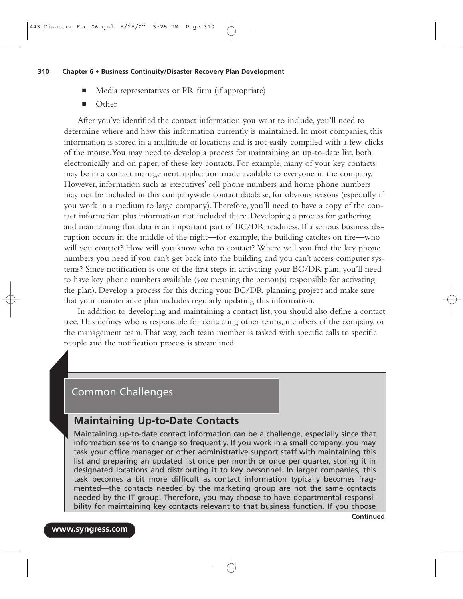- Media representatives or PR firm (if appropriate)
- Other

After you've identified the contact information you want to include, you'll need to determine where and how this information currently is maintained. In most companies, this information is stored in a multitude of locations and is not easily compiled with a few clicks of the mouse.You may need to develop a process for maintaining an up-to-date list, both electronically and on paper, of these key contacts. For example, many of your key contacts may be in a contact management application made available to everyone in the company. However, information such as executives' cell phone numbers and home phone numbers may not be included in this companywide contact database, for obvious reasons (especially if you work in a medium to large company).Therefore, you'll need to have a copy of the contact information plus information not included there. Developing a process for gathering and maintaining that data is an important part of BC/DR readiness. If a serious business disruption occurs in the middle of the night—for example, the building catches on fire—who will you contact? How will you know who to contact? Where will you find the key phone numbers you need if you can't get back into the building and you can't access computer systems? Since notification is one of the first steps in activating your BC/DR plan, you'll need to have key phone numbers available (*you* meaning the person(s) responsible for activating the plan). Develop a process for this during your BC/DR planning project and make sure that your maintenance plan includes regularly updating this information.

In addition to developing and maintaining a contact list, you should also define a contact tree.This defines who is responsible for contacting other teams, members of the company, or the management team.That way, each team member is tasked with specific calls to specific people and the notification process is streamlined.

#### Common Challenges

#### **Maintaining Up-to-Date Contacts**

Maintaining up-to-date contact information can be a challenge, especially since that information seems to change so frequently. If you work in a small company, you may task your office manager or other administrative support staff with maintaining this list and preparing an updated list once per month or once per quarter, storing it in designated locations and distributing it to key personnel. In larger companies, this task becomes a bit more difficult as contact information typically becomes fragmented—the contacts needed by the marketing group are not the same contacts needed by the IT group. Therefore, you may choose to have departmental responsibility for maintaining key contacts relevant to that business function. If you choose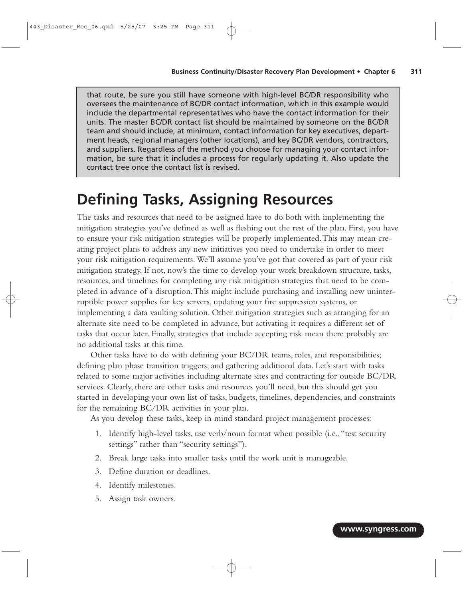that route, be sure you still have someone with high-level BC/DR responsibility who oversees the maintenance of BC/DR contact information, which in this example would include the departmental representatives who have the contact information for their units. The master BC/DR contact list should be maintained by someone on the BC/DR team and should include, at minimum, contact information for key executives, department heads, regional managers (other locations), and key BC/DR vendors, contractors, and suppliers. Regardless of the method you choose for managing your contact information, be sure that it includes a process for regularly updating it. Also update the contact tree once the contact list is revised.

# **Defining Tasks, Assigning Resources**

The tasks and resources that need to be assigned have to do both with implementing the mitigation strategies you've defined as well as fleshing out the rest of the plan. First, you have to ensure your risk mitigation strategies will be properly implemented.This may mean creating project plans to address any new initiatives you need to undertake in order to meet your risk mitigation requirements. We'll assume you've got that covered as part of your risk mitigation strategy. If not, now's the time to develop your work breakdown structure, tasks, resources, and timelines for completing any risk mitigation strategies that need to be completed in advance of a disruption.This might include purchasing and installing new uninterruptible power supplies for key servers, updating your fire suppression systems, or implementing a data vaulting solution. Other mitigation strategies such as arranging for an alternate site need to be completed in advance, but activating it requires a different set of tasks that occur later. Finally, strategies that include accepting risk mean there probably are no additional tasks at this time.

Other tasks have to do with defining your BC/DR teams, roles, and responsibilities; defining plan phase transition triggers; and gathering additional data. Let's start with tasks related to some major activities including alternate sites and contracting for outside BC/DR services. Clearly, there are other tasks and resources you'll need, but this should get you started in developing your own list of tasks, budgets, timelines, dependencies, and constraints for the remaining BC/DR activities in your plan.

As you develop these tasks, keep in mind standard project management processes:

- 1. Identify high-level tasks, use verb/noun format when possible (i.e.,"test security settings" rather than "security settings").
- 2. Break large tasks into smaller tasks until the work unit is manageable.
- 3. Define duration or deadlines.
- 4. Identify milestones.
- 5. Assign task owners.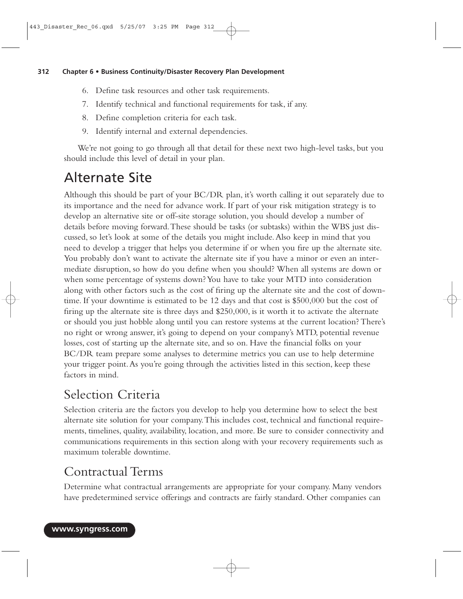- 6. Define task resources and other task requirements.
- 7. Identify technical and functional requirements for task, if any.
- 8. Define completion criteria for each task.
- 9. Identify internal and external dependencies.

We're not going to go through all that detail for these next two high-level tasks, but you should include this level of detail in your plan.

## Alternate Site

Although this should be part of your BC/DR plan, it's worth calling it out separately due to its importance and the need for advance work. If part of your risk mitigation strategy is to develop an alternative site or off-site storage solution, you should develop a number of details before moving forward.These should be tasks (or subtasks) within the WBS just discussed, so let's look at some of the details you might include.Also keep in mind that you need to develop a trigger that helps you determine if or when you fire up the alternate site. You probably don't want to activate the alternate site if you have a minor or even an intermediate disruption, so how do you define when you should? When all systems are down or when some percentage of systems down? You have to take your MTD into consideration along with other factors such as the cost of firing up the alternate site and the cost of downtime. If your downtime is estimated to be 12 days and that cost is \$500,000 but the cost of firing up the alternate site is three days and \$250,000, is it worth it to activate the alternate or should you just hobble along until you can restore systems at the current location? There's no right or wrong answer, it's going to depend on your company's MTD, potential revenue losses, cost of starting up the alternate site, and so on. Have the financial folks on your BC/DR team prepare some analyses to determine metrics you can use to help determine your trigger point.As you're going through the activities listed in this section, keep these factors in mind.

## Selection Criteria

Selection criteria are the factors you develop to help you determine how to select the best alternate site solution for your company.This includes cost, technical and functional requirements, timelines, quality, availability, location, and more. Be sure to consider connectivity and communications requirements in this section along with your recovery requirements such as maximum tolerable downtime.

## Contractual Terms

Determine what contractual arrangements are appropriate for your company. Many vendors have predetermined service offerings and contracts are fairly standard. Other companies can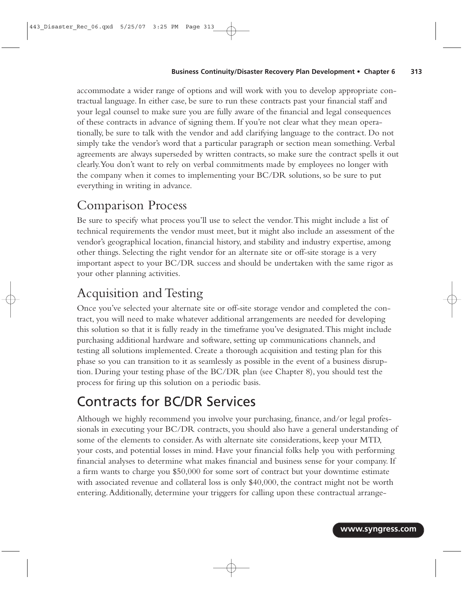accommodate a wider range of options and will work with you to develop appropriate contractual language. In either case, be sure to run these contracts past your financial staff and your legal counsel to make sure you are fully aware of the financial and legal consequences of these contracts in advance of signing them. If you're not clear what they mean operationally, be sure to talk with the vendor and add clarifying language to the contract. Do not simply take the vendor's word that a particular paragraph or section mean something. Verbal agreements are always superseded by written contracts, so make sure the contract spells it out clearly.You don't want to rely on verbal commitments made by employees no longer with the company when it comes to implementing your BC/DR solutions, so be sure to put everything in writing in advance.

### Comparison Process

Be sure to specify what process you'll use to select the vendor.This might include a list of technical requirements the vendor must meet, but it might also include an assessment of the vendor's geographical location, financial history, and stability and industry expertise, among other things. Selecting the right vendor for an alternate site or off-site storage is a very important aspect to your BC/DR success and should be undertaken with the same rigor as your other planning activities.

## Acquisition and Testing

Once you've selected your alternate site or off-site storage vendor and completed the contract, you will need to make whatever additional arrangements are needed for developing this solution so that it is fully ready in the timeframe you've designated.This might include purchasing additional hardware and software, setting up communications channels, and testing all solutions implemented. Create a thorough acquisition and testing plan for this phase so you can transition to it as seamlessly as possible in the event of a business disruption. During your testing phase of the BC/DR plan (see Chapter 8), you should test the process for firing up this solution on a periodic basis.

# Contracts for BC/DR Services

Although we highly recommend you involve your purchasing, finance, and/or legal professionals in executing your BC/DR contracts, you should also have a general understanding of some of the elements to consider.As with alternate site considerations, keep your MTD, your costs, and potential losses in mind. Have your financial folks help you with performing financial analyses to determine what makes financial and business sense for your company. If a firm wants to charge you \$50,000 for some sort of contract but your downtime estimate with associated revenue and collateral loss is only \$40,000, the contract might not be worth entering.Additionally, determine your triggers for calling upon these contractual arrange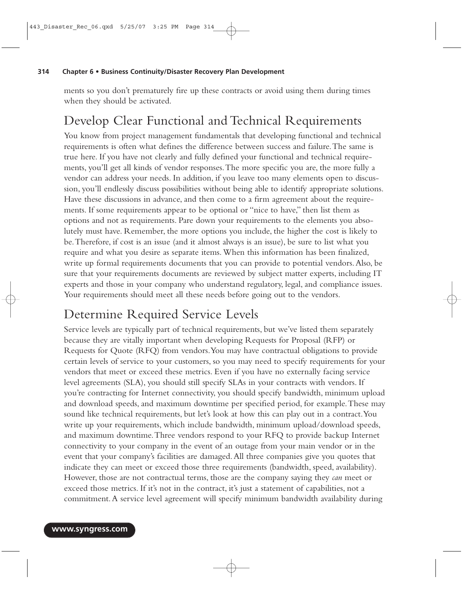ments so you don't prematurely fire up these contracts or avoid using them during times when they should be activated.

### Develop Clear Functional and Technical Requirements

You know from project management fundamentals that developing functional and technical requirements is often what defines the difference between success and failure.The same is true here. If you have not clearly and fully defined your functional and technical requirements, you'll get all kinds of vendor responses.The more specific you are, the more fully a vendor can address your needs. In addition, if you leave too many elements open to discussion, you'll endlessly discuss possibilities without being able to identify appropriate solutions. Have these discussions in advance, and then come to a firm agreement about the requirements. If some requirements appear to be optional or "nice to have," then list them as options and not as requirements. Pare down your requirements to the elements you absolutely must have. Remember, the more options you include, the higher the cost is likely to be.Therefore, if cost is an issue (and it almost always is an issue), be sure to list what you require and what you desire as separate items. When this information has been finalized, write up formal requirements documents that you can provide to potential vendors.Also, be sure that your requirements documents are reviewed by subject matter experts, including IT experts and those in your company who understand regulatory, legal, and compliance issues. Your requirements should meet all these needs before going out to the vendors.

## Determine Required Service Levels

Service levels are typically part of technical requirements, but we've listed them separately because they are vitally important when developing Requests for Proposal (RFP) or Requests for Quote (RFQ) from vendors.You may have contractual obligations to provide certain levels of service to your customers, so you may need to specify requirements for your vendors that meet or exceed these metrics. Even if you have no externally facing service level agreements (SLA), you should still specify SLAs in your contracts with vendors. If you're contracting for Internet connectivity, you should specify bandwidth, minimum upload and download speeds, and maximum downtime per specified period, for example.These may sound like technical requirements, but let's look at how this can play out in a contract.You write up your requirements, which include bandwidth, minimum upload/download speeds, and maximum downtime.Three vendors respond to your RFQ to provide backup Internet connectivity to your company in the event of an outage from your main vendor or in the event that your company's facilities are damaged.All three companies give you quotes that indicate they can meet or exceed those three requirements (bandwidth, speed, availability). However, those are not contractual terms, those are the company saying they *can* meet or exceed those metrics. If it's not in the contract, it's just a statement of capabilities, not a commitment.A service level agreement will specify minimum bandwidth availability during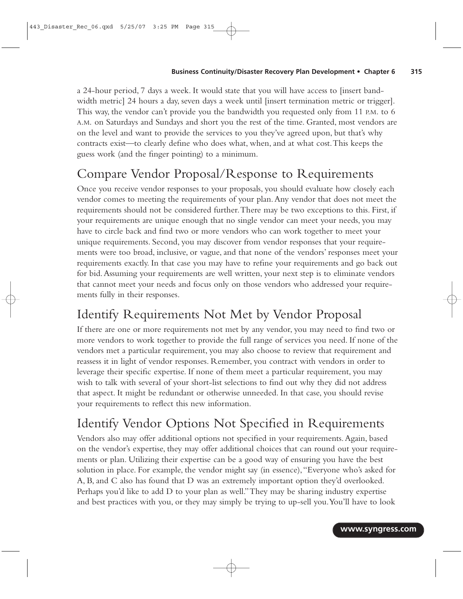a 24-hour period, 7 days a week. It would state that you will have access to [insert bandwidth metric 24 hours a day, seven days a week until [insert termination metric or trigger]. This way, the vendor can't provide you the bandwidth you requested only from 11 P.M. to 6 A.M. on Saturdays and Sundays and short you the rest of the time. Granted, most vendors are on the level and want to provide the services to you they've agreed upon, but that's why contracts exist—to clearly define who does what, when, and at what cost.This keeps the guess work (and the finger pointing) to a minimum.

## Compare Vendor Proposal/Response to Requirements

Once you receive vendor responses to your proposals, you should evaluate how closely each vendor comes to meeting the requirements of your plan.Any vendor that does not meet the requirements should not be considered further.There may be two exceptions to this. First, if your requirements are unique enough that no single vendor can meet your needs, you may have to circle back and find two or more vendors who can work together to meet your unique requirements. Second, you may discover from vendor responses that your requirements were too broad, inclusive, or vague, and that none of the vendors' responses meet your requirements exactly. In that case you may have to refine your requirements and go back out for bid.Assuming your requirements are well written, your next step is to eliminate vendors that cannot meet your needs and focus only on those vendors who addressed your requirements fully in their responses.

## Identify Requirements Not Met by Vendor Proposal

If there are one or more requirements not met by any vendor, you may need to find two or more vendors to work together to provide the full range of services you need. If none of the vendors met a particular requirement, you may also choose to review that requirement and reassess it in light of vendor responses. Remember, you contract with vendors in order to leverage their specific expertise. If none of them meet a particular requirement, you may wish to talk with several of your short-list selections to find out why they did not address that aspect. It might be redundant or otherwise unneeded. In that case, you should revise your requirements to reflect this new information.

## Identify Vendor Options Not Specified in Requirements

Vendors also may offer additional options not specified in your requirements.Again, based on the vendor's expertise, they may offer additional choices that can round out your requirements or plan. Utilizing their expertise can be a good way of ensuring you have the best solution in place. For example, the vendor might say (in essence),"Everyone who's asked for A, B, and C also has found that D was an extremely important option they'd overlooked. Perhaps you'd like to add D to your plan as well."They may be sharing industry expertise and best practices with you, or they may simply be trying to up-sell you.You'll have to look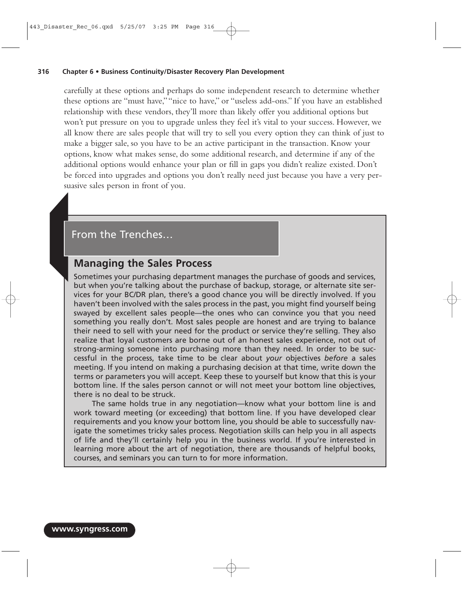carefully at these options and perhaps do some independent research to determine whether these options are "must have,""nice to have," or "useless add-ons." If you have an established relationship with these vendors, they'll more than likely offer you additional options but won't put pressure on you to upgrade unless they feel it's vital to your success. However, we all know there are sales people that will try to sell you every option they can think of just to make a bigger sale, so you have to be an active participant in the transaction. Know your options, know what makes sense, do some additional research, and determine if any of the additional options would enhance your plan or fill in gaps you didn't realize existed. Don't be forced into upgrades and options you don't really need just because you have a very persuasive sales person in front of you.

#### From the Trenches…

#### **Managing the Sales Process**

Sometimes your purchasing department manages the purchase of goods and services, but when you're talking about the purchase of backup, storage, or alternate site services for your BC/DR plan, there's a good chance you will be directly involved. If you haven't been involved with the sales process in the past, you might find yourself being swayed by excellent sales people—the ones who can convince you that you need something you really don't. Most sales people are honest and are trying to balance their need to sell with your need for the product or service they're selling. They also realize that loyal customers are borne out of an honest sales experience, not out of strong-arming someone into purchasing more than they need. In order to be successful in the process, take time to be clear about *your* objectives *before* a sales meeting. If you intend on making a purchasing decision at that time, write down the terms or parameters you will accept. Keep these to yourself but know that this is your bottom line. If the sales person cannot or will not meet your bottom line objectives, there is no deal to be struck.

The same holds true in any negotiation—know what your bottom line is and work toward meeting (or exceeding) that bottom line. If you have developed clear requirements and you know your bottom line, you should be able to successfully navigate the sometimes tricky sales process. Negotiation skills can help you in all aspects of life and they'll certainly help you in the business world. If you're interested in learning more about the art of negotiation, there are thousands of helpful books, courses, and seminars you can turn to for more information.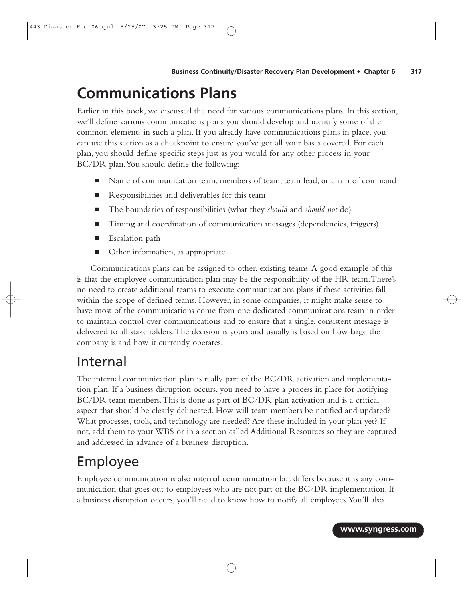# **Communications Plans**

Earlier in this book, we discussed the need for various communications plans. In this section, we'll define various communications plans you should develop and identify some of the common elements in such a plan. If you already have communications plans in place, you can use this section as a checkpoint to ensure you've got all your bases covered. For each plan, you should define specific steps just as you would for any other process in your BC/DR plan.You should define the following:

- Name of communication team, members of team, team lead, or chain of command
- Responsibilities and deliverables for this team
- The boundaries of responsibilities (what they *should* and *should not* do)
- Timing and coordination of communication messages (dependencies, triggers)
- Escalation path
- Other information, as appropriate

Communications plans can be assigned to other, existing teams.A good example of this is that the employee communication plan may be the responsibility of the HR team.There's no need to create additional teams to execute communications plans if these activities fall within the scope of defined teams. However, in some companies, it might make sense to have most of the communications come from one dedicated communications team in order to maintain control over communications and to ensure that a single, consistent message is delivered to all stakeholders.The decision is yours and usually is based on how large the company is and how it currently operates.

## Internal

The internal communication plan is really part of the BC/DR activation and implementation plan. If a business disruption occurs, you need to have a process in place for notifying BC/DR team members.This is done as part of BC/DR plan activation and is a critical aspect that should be clearly delineated. How will team members be notified and updated? What processes, tools, and technology are needed? Are these included in your plan yet? If not, add them to your WBS or in a section called Additional Resources so they are captured and addressed in advance of a business disruption.

## Employee

Employee communication is also internal communication but differs because it is any communication that goes out to employees who are not part of the BC/DR implementation. If a business disruption occurs, you'll need to know how to notify all employees.You'll also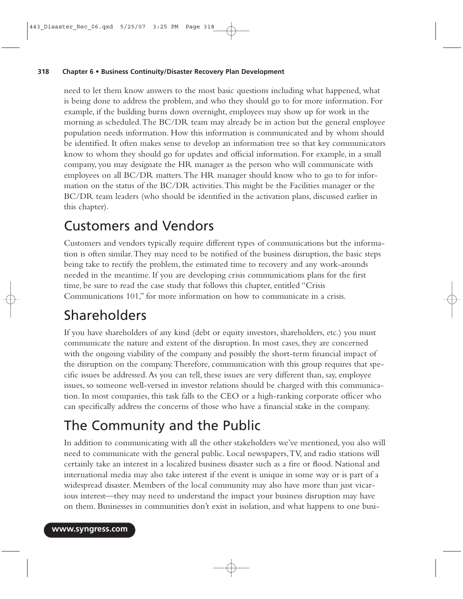need to let them know answers to the most basic questions including what happened, what is being done to address the problem, and who they should go to for more information. For example, if the building burns down overnight, employees may show up for work in the morning as scheduled.The BC/DR team may already be in action but the general employee population needs information. How this information is communicated and by whom should be identified. It often makes sense to develop an information tree so that key communicators know to whom they should go for updates and official information. For example, in a small company, you may designate the HR manager as the person who will communicate with employees on all BC/DR matters.The HR manager should know who to go to for information on the status of the BC/DR activities.This might be the Facilities manager or the BC/DR team leaders (who should be identified in the activation plans, discussed earlier in this chapter).

## Customers and Vendors

Customers and vendors typically require different types of communications but the information is often similar.They may need to be notified of the business disruption, the basic steps being take to rectify the problem, the estimated time to recovery and any work-arounds needed in the meantime. If you are developing crisis communications plans for the first time, be sure to read the case study that follows this chapter, entitled "Crisis Communications 101," for more information on how to communicate in a crisis.

## Shareholders

If you have shareholders of any kind (debt or equity investors, shareholders, etc.) you must communicate the nature and extent of the disruption. In most cases, they are concerned with the ongoing viability of the company and possibly the short-term financial impact of the disruption on the company.Therefore, communication with this group requires that specific issues be addressed.As you can tell, these issues are very different than, say, employee issues, so someone well-versed in investor relations should be charged with this communication. In most companies, this task falls to the CEO or a high-ranking corporate officer who can specifically address the concerns of those who have a financial stake in the company.

# The Community and the Public

In addition to communicating with all the other stakeholders we've mentioned, you also will need to communicate with the general public. Local newspapers,TV, and radio stations will certainly take an interest in a localized business disaster such as a fire or flood. National and international media may also take interest if the event is unique in some way or is part of a widespread disaster. Members of the local community may also have more than just vicarious interest—they may need to understand the impact your business disruption may have on them. Businesses in communities don't exist in isolation, and what happens to one busi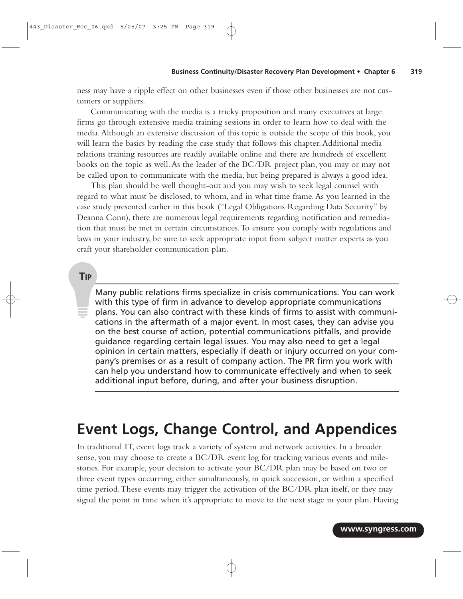ness may have a ripple effect on other businesses even if those other businesses are not customers or suppliers.

Communicating with the media is a tricky proposition and many executives at large firms go through extensive media training sessions in order to learn how to deal with the media.Although an extensive discussion of this topic is outside the scope of this book, you will learn the basics by reading the case study that follows this chapter. Additional media relations training resources are readily available online and there are hundreds of excellent books on the topic as well.As the leader of the BC/DR project plan, you may or may not be called upon to communicate with the media, but being prepared is always a good idea.

This plan should be well thought-out and you may wish to seek legal counsel with regard to what must be disclosed, to whom, and in what time frame.As you learned in the case study presented earlier in this book ("Legal Obligations Regarding Data Security" by Deanna Conn), there are numerous legal requirements regarding notification and remediation that must be met in certain circumstances.To ensure you comply with regulations and laws in your industry, be sure to seek appropriate input from subject matter experts as you craft your shareholder communication plan.

**TIP**

Many public relations firms specialize in crisis communications. You can work with this type of firm in advance to develop appropriate communications plans. You can also contract with these kinds of firms to assist with communications in the aftermath of a major event. In most cases, they can advise you on the best course of action, potential communications pitfalls, and provide guidance regarding certain legal issues. You may also need to get a legal opinion in certain matters, especially if death or injury occurred on your company's premises or as a result of company action. The PR firm you work with can help you understand how to communicate effectively and when to seek additional input before, during, and after your business disruption.

## **Event Logs, Change Control, and Appendices**

In traditional IT, event logs track a variety of system and network activities. In a broader sense, you may choose to create a BC/DR event log for tracking various events and milestones. For example, your decision to activate your BC/DR plan may be based on two or three event types occurring, either simultaneously, in quick succession, or within a specified time period.These events may trigger the activation of the BC/DR plan itself, or they may signal the point in time when it's appropriate to move to the next stage in your plan. Having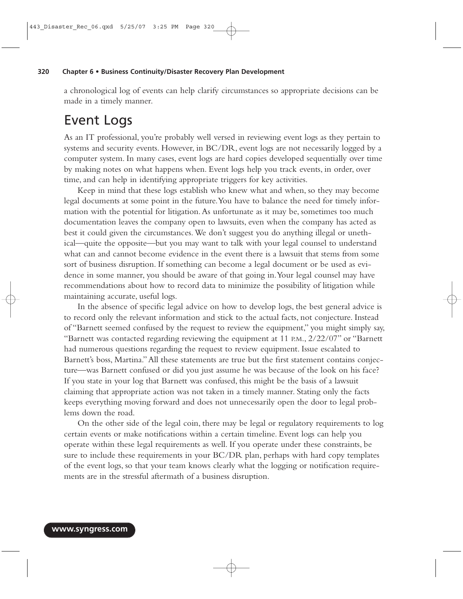a chronological log of events can help clarify circumstances so appropriate decisions can be made in a timely manner.

## Event Logs

As an IT professional, you're probably well versed in reviewing event logs as they pertain to systems and security events. However, in BC/DR, event logs are not necessarily logged by a computer system. In many cases, event logs are hard copies developed sequentially over time by making notes on what happens when. Event logs help you track events, in order, over time, and can help in identifying appropriate triggers for key activities.

Keep in mind that these logs establish who knew what and when, so they may become legal documents at some point in the future.You have to balance the need for timely information with the potential for litigation.As unfortunate as it may be, sometimes too much documentation leaves the company open to lawsuits, even when the company has acted as best it could given the circumstances. We don't suggest you do anything illegal or unethical—quite the opposite—but you may want to talk with your legal counsel to understand what can and cannot become evidence in the event there is a lawsuit that stems from some sort of business disruption. If something can become a legal document or be used as evidence in some manner, you should be aware of that going in.Your legal counsel may have recommendations about how to record data to minimize the possibility of litigation while maintaining accurate, useful logs.

In the absence of specific legal advice on how to develop logs, the best general advice is to record only the relevant information and stick to the actual facts, not conjecture. Instead of "Barnett seemed confused by the request to review the equipment," you might simply say, "Barnett was contacted regarding reviewing the equipment at 11 P.M., 2/22/07" or "Barnett had numerous questions regarding the request to review equipment. Issue escalated to Barnett's boss, Martina."All these statements are true but the first statement contains conjecture—was Barnett confused or did you just assume he was because of the look on his face? If you state in your log that Barnett was confused, this might be the basis of a lawsuit claiming that appropriate action was not taken in a timely manner. Stating only the facts keeps everything moving forward and does not unnecessarily open the door to legal problems down the road.

On the other side of the legal coin, there may be legal or regulatory requirements to log certain events or make notifications within a certain timeline. Event logs can help you operate within these legal requirements as well. If you operate under these constraints, be sure to include these requirements in your BC/DR plan, perhaps with hard copy templates of the event logs, so that your team knows clearly what the logging or notification requirements are in the stressful aftermath of a business disruption.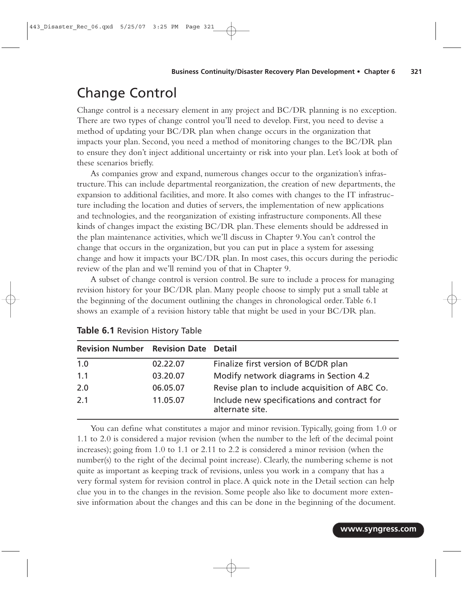## Change Control

Change control is a necessary element in any project and BC/DR planning is no exception. There are two types of change control you'll need to develop. First, you need to devise a method of updating your BC/DR plan when change occurs in the organization that impacts your plan. Second, you need a method of monitoring changes to the BC/DR plan to ensure they don't inject additional uncertainty or risk into your plan. Let's look at both of these scenarios briefly.

As companies grow and expand, numerous changes occur to the organization's infrastructure.This can include departmental reorganization, the creation of new departments, the expansion to additional facilities, and more. It also comes with changes to the IT infrastructure including the location and duties of servers, the implementation of new applications and technologies, and the reorganization of existing infrastructure components.All these kinds of changes impact the existing BC/DR plan.These elements should be addressed in the plan maintenance activities, which we'll discuss in Chapter 9.You can't control the change that occurs in the organization, but you can put in place a system for assessing change and how it impacts your BC/DR plan. In most cases, this occurs during the periodic review of the plan and we'll remind you of that in Chapter 9.

A subset of change control is version control. Be sure to include a process for managing revision history for your BC/DR plan. Many people choose to simply put a small table at the beginning of the document outlining the changes in chronological order.Table 6.1 shows an example of a revision history table that might be used in your BC/DR plan.

| <b>Revision Number Revision Date Detail</b> |          |                                                                |
|---------------------------------------------|----------|----------------------------------------------------------------|
| 1.0                                         | 02.22.07 | Finalize first version of BC/DR plan                           |
| 1.1                                         | 03.20.07 | Modify network diagrams in Section 4.2                         |
| 2.0                                         | 06.05.07 | Revise plan to include acquisition of ABC Co.                  |
| 2.1                                         | 11.05.07 | Include new specifications and contract for<br>alternate site. |

| Table 6.1 Revision History Table |  |  |  |
|----------------------------------|--|--|--|
|----------------------------------|--|--|--|

You can define what constitutes a major and minor revision.Typically, going from 1.0 or 1.1 to 2.0 is considered a major revision (when the number to the left of the decimal point increases); going from 1.0 to 1.1 or 2.11 to 2.2 is considered a minor revision (when the number(s) to the right of the decimal point increase). Clearly, the numbering scheme is not quite as important as keeping track of revisions, unless you work in a company that has a very formal system for revision control in place.A quick note in the Detail section can help clue you in to the changes in the revision. Some people also like to document more extensive information about the changes and this can be done in the beginning of the document.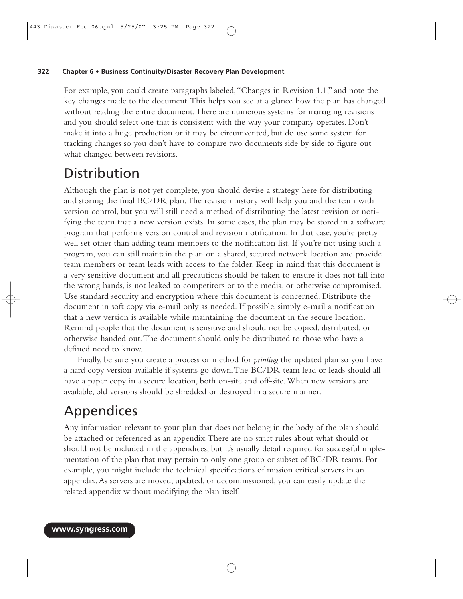For example, you could create paragraphs labeled,"Changes in Revision 1.1," and note the key changes made to the document.This helps you see at a glance how the plan has changed without reading the entire document.There are numerous systems for managing revisions and you should select one that is consistent with the way your company operates. Don't make it into a huge production or it may be circumvented, but do use some system for tracking changes so you don't have to compare two documents side by side to figure out what changed between revisions.

## Distribution

Although the plan is not yet complete, you should devise a strategy here for distributing and storing the final BC/DR plan.The revision history will help you and the team with version control, but you will still need a method of distributing the latest revision or notifying the team that a new version exists. In some cases, the plan may be stored in a software program that performs version control and revision notification. In that case, you're pretty well set other than adding team members to the notification list. If you're not using such a program, you can still maintain the plan on a shared, secured network location and provide team members or team leads with access to the folder. Keep in mind that this document is a very sensitive document and all precautions should be taken to ensure it does not fall into the wrong hands, is not leaked to competitors or to the media, or otherwise compromised. Use standard security and encryption where this document is concerned. Distribute the document in soft copy via e-mail only as needed. If possible, simply e-mail a notification that a new version is available while maintaining the document in the secure location. Remind people that the document is sensitive and should not be copied, distributed, or otherwise handed out.The document should only be distributed to those who have a defined need to know.

Finally, be sure you create a process or method for *printing* the updated plan so you have a hard copy version available if systems go down.The BC/DR team lead or leads should all have a paper copy in a secure location, both on-site and off-site. When new versions are available, old versions should be shredded or destroyed in a secure manner.

## Appendices

Any information relevant to your plan that does not belong in the body of the plan should be attached or referenced as an appendix.There are no strict rules about what should or should not be included in the appendices, but it's usually detail required for successful implementation of the plan that may pertain to only one group or subset of BC/DR teams. For example, you might include the technical specifications of mission critical servers in an appendix.As servers are moved, updated, or decommissioned, you can easily update the related appendix without modifying the plan itself.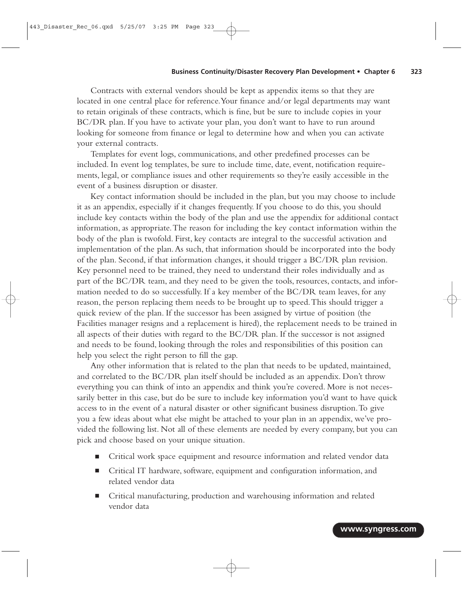Contracts with external vendors should be kept as appendix items so that they are located in one central place for reference.Your finance and/or legal departments may want to retain originals of these contracts, which is fine, but be sure to include copies in your BC/DR plan. If you have to activate your plan, you don't want to have to run around looking for someone from finance or legal to determine how and when you can activate your external contracts.

Templates for event logs, communications, and other predefined processes can be included. In event log templates, be sure to include time, date, event, notification requirements, legal, or compliance issues and other requirements so they're easily accessible in the event of a business disruption or disaster.

Key contact information should be included in the plan, but you may choose to include it as an appendix, especially if it changes frequently. If you choose to do this, you should include key contacts within the body of the plan and use the appendix for additional contact information, as appropriate.The reason for including the key contact information within the body of the plan is twofold. First, key contacts are integral to the successful activation and implementation of the plan.As such, that information should be incorporated into the body of the plan. Second, if that information changes, it should trigger a BC/DR plan revision. Key personnel need to be trained, they need to understand their roles individually and as part of the BC/DR team, and they need to be given the tools, resources, contacts, and information needed to do so successfully. If a key member of the BC/DR team leaves, for any reason, the person replacing them needs to be brought up to speed.This should trigger a quick review of the plan. If the successor has been assigned by virtue of position (the Facilities manager resigns and a replacement is hired), the replacement needs to be trained in all aspects of their duties with regard to the BC/DR plan. If the successor is not assigned and needs to be found, looking through the roles and responsibilities of this position can help you select the right person to fill the gap.

Any other information that is related to the plan that needs to be updated, maintained, and correlated to the BC/DR plan itself should be included as an appendix. Don't throw everything you can think of into an appendix and think you're covered. More is not necessarily better in this case, but do be sure to include key information you'd want to have quick access to in the event of a natural disaster or other significant business disruption.To give you a few ideas about what else might be attached to your plan in an appendix, we've provided the following list. Not all of these elements are needed by every company, but you can pick and choose based on your unique situation.

- Critical work space equipment and resource information and related vendor data
- Critical IT hardware, software, equipment and configuration information, and related vendor data
- Critical manufacturing, production and warehousing information and related vendor data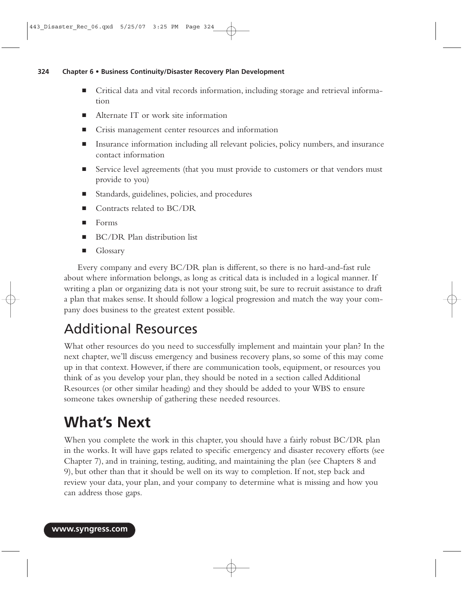- Critical data and vital records information, including storage and retrieval information
- Alternate IT or work site information
- Crisis management center resources and information
- Insurance information including all relevant policies, policy numbers, and insurance contact information
- Service level agreements (that you must provide to customers or that vendors must provide to you)
- Standards, guidelines, policies, and procedures
- Contracts related to BC/DR
- Forms
- BC/DR Plan distribution list
- Glossary

Every company and every BC/DR plan is different, so there is no hard-and-fast rule about where information belongs, as long as critical data is included in a logical manner. If writing a plan or organizing data is not your strong suit, be sure to recruit assistance to draft a plan that makes sense. It should follow a logical progression and match the way your company does business to the greatest extent possible.

## Additional Resources

What other resources do you need to successfully implement and maintain your plan? In the next chapter, we'll discuss emergency and business recovery plans, so some of this may come up in that context. However, if there are communication tools, equipment, or resources you think of as you develop your plan, they should be noted in a section called Additional Resources (or other similar heading) and they should be added to your WBS to ensure someone takes ownership of gathering these needed resources.

# **What's Next**

When you complete the work in this chapter, you should have a fairly robust BC/DR plan in the works. It will have gaps related to specific emergency and disaster recovery efforts (see Chapter 7), and in training, testing, auditing, and maintaining the plan (see Chapters 8 and 9), but other than that it should be well on its way to completion. If not, step back and review your data, your plan, and your company to determine what is missing and how you can address those gaps.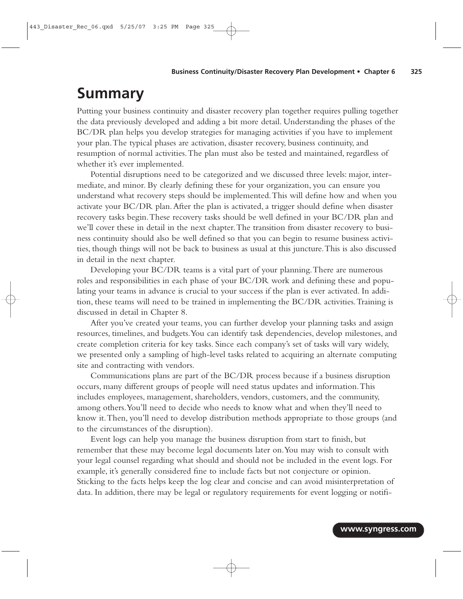# **Summary**

Putting your business continuity and disaster recovery plan together requires pulling together the data previously developed and adding a bit more detail. Understanding the phases of the BC/DR plan helps you develop strategies for managing activities if you have to implement your plan.The typical phases are activation, disaster recovery, business continuity, and resumption of normal activities.The plan must also be tested and maintained, regardless of whether it's ever implemented.

Potential disruptions need to be categorized and we discussed three levels: major, intermediate, and minor. By clearly defining these for your organization, you can ensure you understand what recovery steps should be implemented.This will define how and when you activate your BC/DR plan.After the plan is activated, a trigger should define when disaster recovery tasks begin.These recovery tasks should be well defined in your BC/DR plan and we'll cover these in detail in the next chapter.The transition from disaster recovery to business continuity should also be well defined so that you can begin to resume business activities, though things will not be back to business as usual at this juncture.This is also discussed in detail in the next chapter.

Developing your BC/DR teams is a vital part of your planning.There are numerous roles and responsibilities in each phase of your BC/DR work and defining these and populating your teams in advance is crucial to your success if the plan is ever activated. In addition, these teams will need to be trained in implementing the BC/DR activities.Training is discussed in detail in Chapter 8.

After you've created your teams, you can further develop your planning tasks and assign resources, timelines, and budgets.You can identify task dependencies, develop milestones, and create completion criteria for key tasks. Since each company's set of tasks will vary widely, we presented only a sampling of high-level tasks related to acquiring an alternate computing site and contracting with vendors.

Communications plans are part of the BC/DR process because if a business disruption occurs, many different groups of people will need status updates and information.This includes employees, management, shareholders, vendors, customers, and the community, among others.You'll need to decide who needs to know what and when they'll need to know it.Then, you'll need to develop distribution methods appropriate to those groups (and to the circumstances of the disruption).

Event logs can help you manage the business disruption from start to finish, but remember that these may become legal documents later on.You may wish to consult with your legal counsel regarding what should and should not be included in the event logs. For example, it's generally considered fine to include facts but not conjecture or opinion. Sticking to the facts helps keep the log clear and concise and can avoid misinterpretation of data. In addition, there may be legal or regulatory requirements for event logging or notifi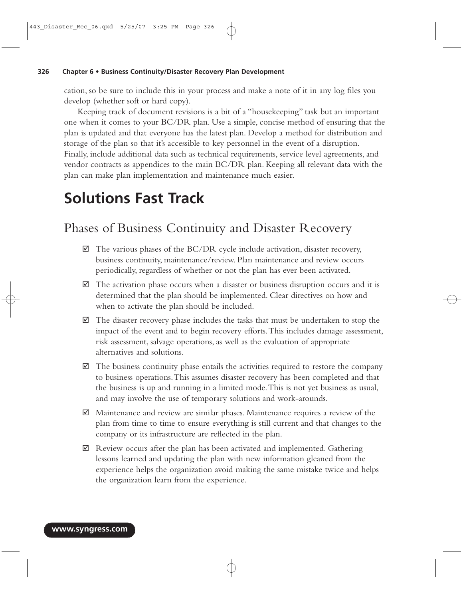cation, so be sure to include this in your process and make a note of it in any log files you develop (whether soft or hard copy).

Keeping track of document revisions is a bit of a "housekeeping" task but an important one when it comes to your BC/DR plan. Use a simple, concise method of ensuring that the plan is updated and that everyone has the latest plan. Develop a method for distribution and storage of the plan so that it's accessible to key personnel in the event of a disruption. Finally, include additional data such as technical requirements, service level agreements, and vendor contracts as appendices to the main BC/DR plan. Keeping all relevant data with the plan can make plan implementation and maintenance much easier.

# **Solutions Fast Track**

#### Phases of Business Continuity and Disaster Recovery

- $\boxtimes$  The various phases of the BC/DR cycle include activation, disaster recovery, business continuity, maintenance/review. Plan maintenance and review occurs periodically, regardless of whether or not the plan has ever been activated.
- $\boxtimes$  The activation phase occurs when a disaster or business disruption occurs and it is determined that the plan should be implemented. Clear directives on how and when to activate the plan should be included.
- $\boxtimes$  The disaster recovery phase includes the tasks that must be undertaken to stop the impact of the event and to begin recovery efforts.This includes damage assessment, risk assessment, salvage operations, as well as the evaluation of appropriate alternatives and solutions.
- $\boxtimes$  The business continuity phase entails the activities required to restore the company to business operations.This assumes disaster recovery has been completed and that the business is up and running in a limited mode.This is not yet business as usual, and may involve the use of temporary solutions and work-arounds.
- $\boxtimes$  Maintenance and review are similar phases. Maintenance requires a review of the plan from time to time to ensure everything is still current and that changes to the company or its infrastructure are reflected in the plan.
- $\boxtimes$  Review occurs after the plan has been activated and implemented. Gathering lessons learned and updating the plan with new information gleaned from the experience helps the organization avoid making the same mistake twice and helps the organization learn from the experience.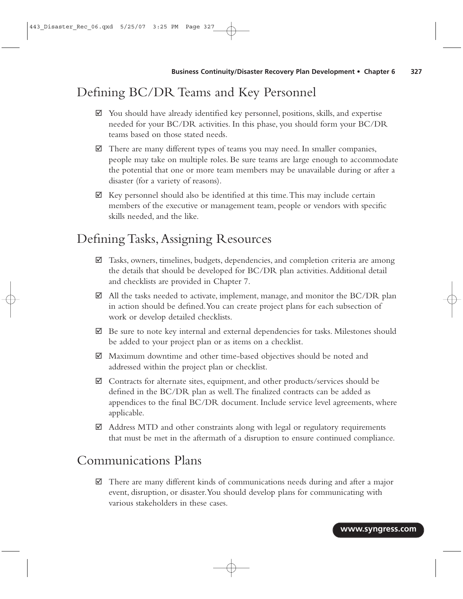#### Defining BC/DR Teams and Key Personnel

- You should have already identified key personnel, positions, skills, and expertise needed for your BC/DR activities. In this phase, you should form your BC/DR teams based on those stated needs.
- $\boxtimes$  There are many different types of teams you may need. In smaller companies, people may take on multiple roles. Be sure teams are large enough to accommodate the potential that one or more team members may be unavailable during or after a disaster (for a variety of reasons).
- $\boxtimes$  Key personnel should also be identified at this time. This may include certain members of the executive or management team, people or vendors with specific skills needed, and the like.

#### Defining Tasks, Assigning Resources

- $\boxtimes$  Tasks, owners, timelines, budgets, dependencies, and completion criteria are among the details that should be developed for BC/DR plan activities. Additional detail and checklists are provided in Chapter 7.
- $\boxtimes$  All the tasks needed to activate, implement, manage, and monitor the BC/DR plan in action should be defined.You can create project plans for each subsection of work or develop detailed checklists.
- $\boxtimes$  Be sure to note key internal and external dependencies for tasks. Milestones should be added to your project plan or as items on a checklist.
- Maximum downtime and other time-based objectives should be noted and addressed within the project plan or checklist.
- Contracts for alternate sites, equipment, and other products/services should be defined in the BC/DR plan as well.The finalized contracts can be added as appendices to the final BC/DR document. Include service level agreements, where applicable.
- $\boxtimes$  Address MTD and other constraints along with legal or regulatory requirements that must be met in the aftermath of a disruption to ensure continued compliance.

#### Communications Plans

 There are many different kinds of communications needs during and after a major event, disruption, or disaster.You should develop plans for communicating with various stakeholders in these cases.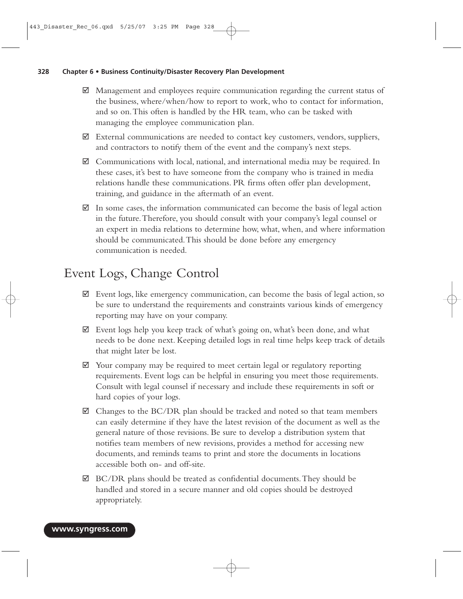- Management and employees require communication regarding the current status of the business, where/when/how to report to work, who to contact for information, and so on.This often is handled by the HR team, who can be tasked with managing the employee communication plan.
- $\boxtimes$  External communications are needed to contact key customers, vendors, suppliers, and contractors to notify them of the event and the company's next steps.
- $\boxtimes$  Communications with local, national, and international media may be required. In these cases, it's best to have someone from the company who is trained in media relations handle these communications. PR firms often offer plan development, training, and guidance in the aftermath of an event.
- $\boxtimes$  In some cases, the information communicated can become the basis of legal action in the future.Therefore, you should consult with your company's legal counsel or an expert in media relations to determine how, what, when, and where information should be communicated.This should be done before any emergency communication is needed.

#### Event Logs, Change Control

- $\boxtimes$  Event logs, like emergency communication, can become the basis of legal action, so be sure to understand the requirements and constraints various kinds of emergency reporting may have on your company.
- $\boxtimes$  Event logs help you keep track of what's going on, what's been done, and what needs to be done next. Keeping detailed logs in real time helps keep track of details that might later be lost.
- $\boxtimes$  Your company may be required to meet certain legal or regulatory reporting requirements. Event logs can be helpful in ensuring you meet those requirements. Consult with legal counsel if necessary and include these requirements in soft or hard copies of your logs.
- $\boxtimes$  Changes to the BC/DR plan should be tracked and noted so that team members can easily determine if they have the latest revision of the document as well as the general nature of those revisions. Be sure to develop a distribution system that notifies team members of new revisions, provides a method for accessing new documents, and reminds teams to print and store the documents in locations accessible both on- and off-site.
- $\boxtimes$  BC/DR plans should be treated as confidential documents. They should be handled and stored in a secure manner and old copies should be destroyed appropriately.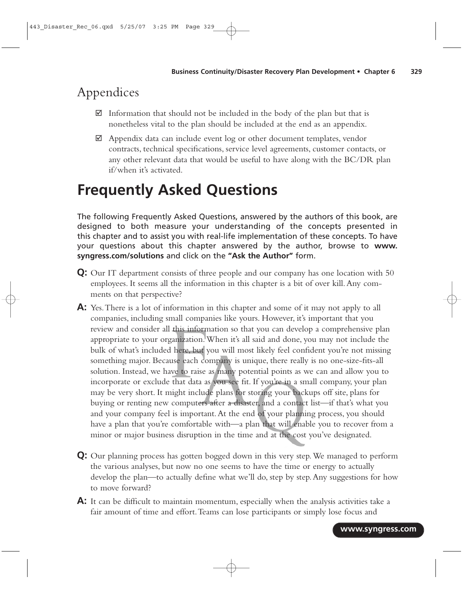### Appendices

- $\boxtimes$  Information that should not be included in the body of the plan but that is nonetheless vital to the plan should be included at the end as an appendix.
- Appendix data can include event log or other document templates, vendor contracts, technical specifications, service level agreements, customer contacts, or any other relevant data that would be useful to have along with the BC/DR plan if/when it's activated.

# **Frequently Asked Questions**

The following Frequently Asked Questions, answered by the authors of this book, are designed to both measure your understanding of the concepts presented in this chapter and to assist you with real-life implementation of these concepts. To have your questions about this chapter answered by the author, browse to **www. syngress.com/solutions** and click on the **"Ask the Author"** form.

- **Q:** Our IT department consists of three people and our company has one location with 50 employees. It seems all the information in this chapter is a bit of over kill.Any comments on that perspective?
- **A:** Yes.There is a lot of information in this chapter and some of it may not apply to all companies, including small companies like yours. However, it's important that you review and consider all this information so that you can develop a comprehensive plan appropriate to your organization. When it's all said and done, you may not include the bulk of what's included here, but you will most likely feel confident you're not missing something major. Because each company is unique, there really is no one-size-fits-all solution. Instead, we have to raise as many potential points as we can and allow you to incorporate or exclude that data as you see fit. If you're in a small company, your plan may be very short. It might include plans for storing your backups off site, plans for buying or renting new computers after a disaster, and a contact list—if that's what you and your company feel is important.At the end of your planning process, you should have a plan that you're comfortable with—a plan that will enable you to recover from a minor or major business disruption in the time and at the cost you've designated.
- **Q:** Our planning process has gotten bogged down in this very step. We managed to perform the various analyses, but now no one seems to have the time or energy to actually develop the plan—to actually define what we'll do, step by step.Any suggestions for how to move forward?
- **A:** It can be difficult to maintain momentum, especially when the analysis activities take a fair amount of time and effort. Teams can lose participants or simply lose focus and